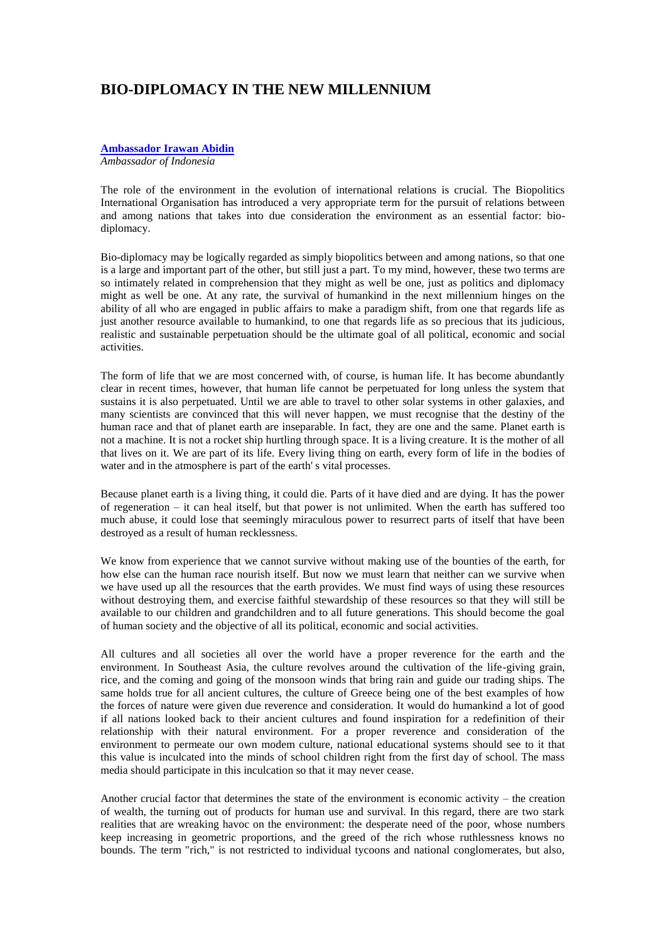## **BIO-DIPLOMACY IN THE NEW MILLENNIUM**

## **[Ambassador Irawan Abidin](file://server/Current%20Work/DOROTHY/PUBS/proceedings/VOL8/html/Abidin.htm%231)**

*Ambassador of Indonesia*

The role of the environment in the evolution of international relations is crucial. The Biopolitics International Organisation has introduced a very appropriate term for the pursuit of relations between and among nations that takes into due consideration the environment as an essential factor: biodiplomacy.

Bio-diplomacy may be logically regarded as simply biopolitics between and among nations, so that one is a large and important part of the other, but still just a part. To my mind, however, these two terms are so intimately related in comprehension that they might as well be one, just as politics and diplomacy might as well be one. At any rate, the survival of humankind in the next millennium hinges on the ability of all who are engaged in public affairs to make a paradigm shift, from one that regards life as just another resource available to humankind, to one that regards life as so precious that its judicious, realistic and sustainable perpetuation should be the ultimate goal of all political, economic and social activities.

The form of life that we are most concerned with, of course, is human life. It has become abundantly clear in recent times, however, that human life cannot be perpetuated for long unless the system that sustains it is also perpetuated. Until we are able to travel to other solar systems in other galaxies, and many scientists are convinced that this will never happen, we must recognise that the destiny of the human race and that of planet earth are inseparable. In fact, they are one and the same. Planet earth is not a machine. It is not a rocket ship hurtling through space. It is a living creature. It is the mother of all that lives on it. We are part of its life. Every living thing on earth, every form of life in the bodies of water and in the atmosphere is part of the earth' s vital processes.

Because planet earth is a living thing, it could die. Parts of it have died and are dying. It has the power of regeneration – it can heal itself, but that power is not unlimited. When the earth has suffered too much abuse, it could lose that seemingly miraculous power to resurrect parts of itself that have been destroyed as a result of human recklessness.

We know from experience that we cannot survive without making use of the bounties of the earth, for how else can the human race nourish itself. But now we must learn that neither can we survive when we have used up all the resources that the earth provides. We must find ways of using these resources without destroying them, and exercise faithful stewardship of these resources so that they will still be available to our children and grandchildren and to all future generations. This should become the goal of human society and the objective of all its political, economic and social activities.

All cultures and all societies all over the world have a proper reverence for the earth and the environment. In Southeast Asia, the culture revolves around the cultivation of the life-giving grain, rice, and the coming and going of the monsoon winds that bring rain and guide our trading ships. The same holds true for all ancient cultures, the culture of Greece being one of the best examples of how the forces of nature were given due reverence and consideration. It would do humankind a lot of good if all nations looked back to their ancient cultures and found inspiration for a redefinition of their relationship with their natural environment. For a proper reverence and consideration of the environment to permeate our own modem culture, national educational systems should see to it that this value is inculcated into the minds of school children right from the first day of school. The mass media should participate in this inculcation so that it may never cease.

Another crucial factor that determines the state of the environment is economic activity – the creation of wealth, the turning out of products for human use and survival. In this regard, there are two stark realities that are wreaking havoc on the environment: the desperate need of the poor, whose numbers keep increasing in geometric proportions, and the greed of the rich whose ruthlessness knows no bounds. The term "rich," is not restricted to individual tycoons and national conglomerates, but also,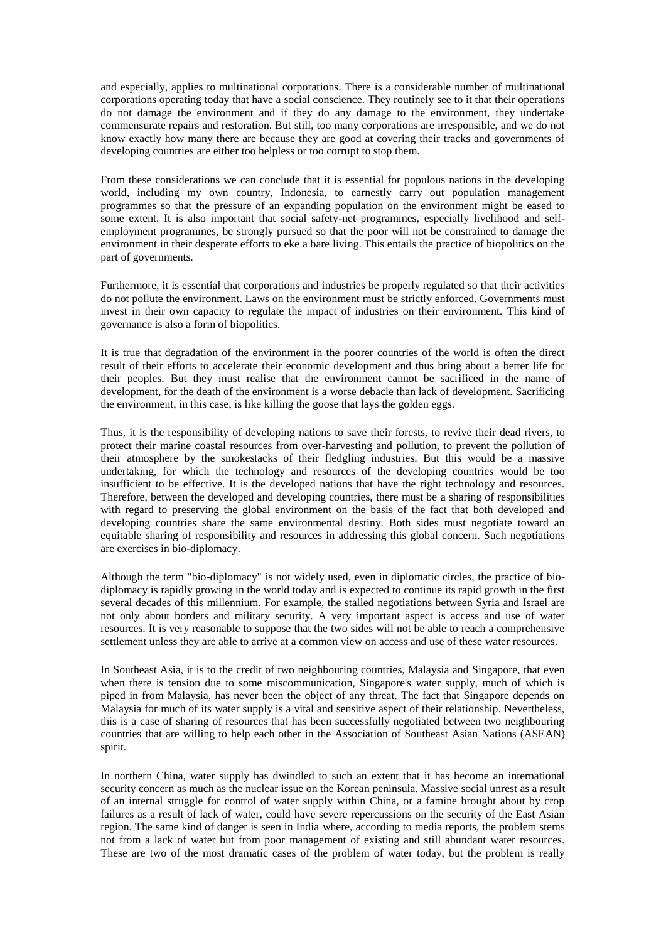and especially, applies to multinational corporations. There is a considerable number of multinational corporations operating today that have a social conscience. They routinely see to it that their operations do not damage the environment and if they do any damage to the environment, they undertake commensurate repairs and restoration. But still, too many corporations are irresponsible, and we do not know exactly how many there are because they are good at covering their tracks and governments of developing countries are either too helpless or too corrupt to stop them.

From these considerations we can conclude that it is essential for populous nations in the developing world, including my own country, Indonesia, to earnestly carry out population management programmes so that the pressure of an expanding population on the environment might be eased to some extent. It is also important that social safety-net programmes, especially livelihood and selfemployment programmes, be strongly pursued so that the poor will not be constrained to damage the environment in their desperate efforts to eke a bare living. This entails the practice of biopolitics on the part of governments.

Furthermore, it is essential that corporations and industries be properly regulated so that their activities do not pollute the environment. Laws on the environment must be strictly enforced. Governments must invest in their own capacity to regulate the impact of industries on their environment. This kind of governance is also a form of biopolitics.

It is true that degradation of the environment in the poorer countries of the world is often the direct result of their efforts to accelerate their economic development and thus bring about a better life for their peoples. But they must realise that the environment cannot be sacrificed in the name of development, for the death of the environment is a worse debacle than lack of development. Sacrificing the environment, in this case, is like killing the goose that lays the golden eggs.

Thus, it is the responsibility of developing nations to save their forests, to revive their dead rivers, to protect their marine coastal resources from over-harvesting and pollution, to prevent the pollution of their atmosphere by the smokestacks of their fledgling industries. But this would be a massive undertaking, for which the technology and resources of the developing countries would be too insufficient to be effective. It is the developed nations that have the right technology and resources. Therefore, between the developed and developing countries, there must be a sharing of responsibilities with regard to preserving the global environment on the basis of the fact that both developed and developing countries share the same environmental destiny. Both sides must negotiate toward an equitable sharing of responsibility and resources in addressing this global concern. Such negotiations are exercises in bio-diplomacy.

Although the term "bio-diplomacy" is not widely used, even in diplomatic circles, the practice of biodiplomacy is rapidly growing in the world today and is expected to continue its rapid growth in the first several decades of this millennium. For example, the stalled negotiations between Syria and Israel are not only about borders and military security. A very important aspect is access and use of water resources. It is very reasonable to suppose that the two sides will not be able to reach a comprehensive settlement unless they are able to arrive at a common view on access and use of these water resources.

In Southeast Asia, it is to the credit of two neighbouring countries, Malaysia and Singapore, that even when there is tension due to some miscommunication, Singapore's water supply, much of which is piped in from Malaysia, has never been the object of any threat. The fact that Singapore depends on Malaysia for much of its water supply is a vital and sensitive aspect of their relationship. Nevertheless, this is a case of sharing of resources that has been successfully negotiated between two neighbouring countries that are willing to help each other in the Association of Southeast Asian Nations (ASEAN) spirit.

In northern China, water supply has dwindled to such an extent that it has become an international security concern as much as the nuclear issue on the Korean peninsula. Massive social unrest as a result of an internal struggle for control of water supply within China, or a famine brought about by crop failures as a result of lack of water, could have severe repercussions on the security of the East Asian region. The same kind of danger is seen in India where, according to media reports, the problem stems not from a lack of water but from poor management of existing and still abundant water resources. These are two of the most dramatic cases of the problem of water today, but the problem is really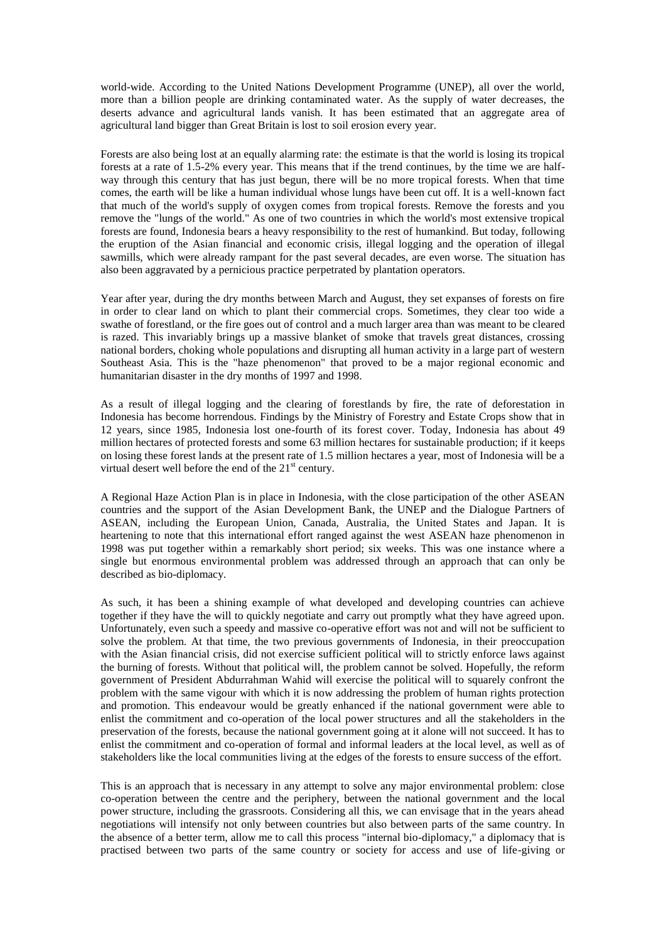world-wide. According to the United Nations Development Programme (UNEP), all over the world, more than a billion people are drinking contaminated water. As the supply of water decreases, the deserts advance and agricultural lands vanish. It has been estimated that an aggregate area of agricultural land bigger than Great Britain is lost to soil erosion every year.

Forests are also being lost at an equally alarming rate: the estimate is that the world is losing its tropical forests at a rate of 1.5-2% every year. This means that if the trend continues, by the time we are halfway through this century that has just begun, there will be no more tropical forests. When that time comes, the earth will be like a human individual whose lungs have been cut off. It is a well-known fact that much of the world's supply of oxygen comes from tropical forests. Remove the forests and you remove the "lungs of the world." As one of two countries in which the world's most extensive tropical forests are found, Indonesia bears a heavy responsibility to the rest of humankind. But today, following the eruption of the Asian financial and economic crisis, illegal logging and the operation of illegal sawmills, which were already rampant for the past several decades, are even worse. The situation has also been aggravated by a pernicious practice perpetrated by plantation operators.

Year after year, during the dry months between March and August, they set expanses of forests on fire in order to clear land on which to plant their commercial crops. Sometimes, they clear too wide a swathe of forestland, or the fire goes out of control and a much larger area than was meant to be cleared is razed. This invariably brings up a massive blanket of smoke that travels great distances, crossing national borders, choking whole populations and disrupting all human activity in a large part of western Southeast Asia. This is the "haze phenomenon" that proved to be a major regional economic and humanitarian disaster in the dry months of 1997 and 1998.

As a result of illegal logging and the clearing of forestlands by fire, the rate of deforestation in Indonesia has become horrendous. Findings by the Ministry of Forestry and Estate Crops show that in 12 years, since 1985, Indonesia lost one-fourth of its forest cover. Today, Indonesia has about 49 million hectares of protected forests and some 63 million hectares for sustainable production; if it keeps on losing these forest lands at the present rate of 1.5 million hectares a year, most of Indonesia will be a virtual desert well before the end of the  $21<sup>st</sup>$  century.

A Regional Haze Action Plan is in place in Indonesia, with the close participation of the other ASEAN countries and the support of the Asian Development Bank, the UNEP and the Dialogue Partners of ASEAN, including the European Union, Canada, Australia, the United States and Japan. It is heartening to note that this international effort ranged against the west ASEAN haze phenomenon in 1998 was put together within a remarkably short period; six weeks. This was one instance where a single but enormous environmental problem was addressed through an approach that can only be described as bio-diplomacy.

As such, it has been a shining example of what developed and developing countries can achieve together if they have the will to quickly negotiate and carry out promptly what they have agreed upon. Unfortunately, even such a speedy and massive co-operative effort was not and will not be sufficient to solve the problem. At that time, the two previous governments of Indonesia, in their preoccupation with the Asian financial crisis, did not exercise sufficient political will to strictly enforce laws against the burning of forests. Without that political will, the problem cannot be solved. Hopefully, the reform government of President Abdurrahman Wahid will exercise the political will to squarely confront the problem with the same vigour with which it is now addressing the problem of human rights protection and promotion. This endeavour would be greatly enhanced if the national government were able to enlist the commitment and co-operation of the local power structures and all the stakeholders in the preservation of the forests, because the national government going at it alone will not succeed. It has to enlist the commitment and co-operation of formal and informal leaders at the local level, as well as of stakeholders like the local communities living at the edges of the forests to ensure success of the effort.

This is an approach that is necessary in any attempt to solve any major environmental problem: close co-operation between the centre and the periphery, between the national government and the local power structure, including the grassroots. Considering all this, we can envisage that in the years ahead negotiations will intensify not only between countries but also between parts of the same country. In the absence of a better term, allow me to call this process "internal bio-diplomacy," a diplomacy that is practised between two parts of the same country or society for access and use of life-giving or